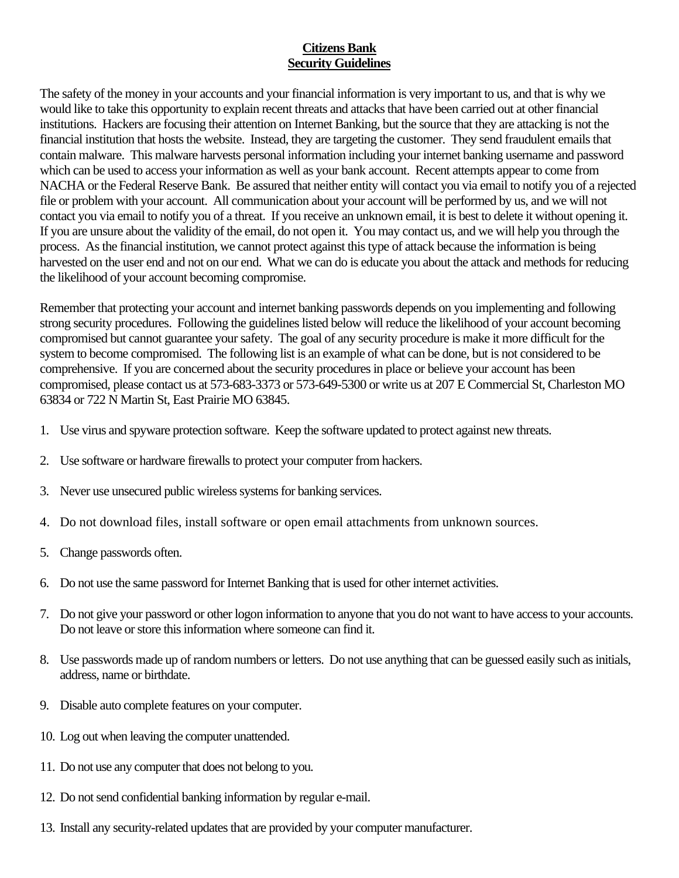## **Citizens Bank Security Guidelines**

The safety of the money in your accounts and your financial information is very important to us, and that is why we would like to take this opportunity to explain recent threats and attacks that have been carried out at other financial institutions. Hackers are focusing their attention on Internet Banking, but the source that they are attacking is not the financial institution that hosts the website. Instead, they are targeting the customer. They send fraudulent emails that contain malware. This malware harvests personal information including your internet banking username and password which can be used to access your information as well as your bank account. Recent attempts appear to come from NACHA or the Federal Reserve Bank. Be assured that neither entity will contact you via email to notify you of a rejected file or problem with your account. All communication about your account will be performed by us, and we will not contact you via email to notify you of a threat. If you receive an unknown email, it is best to delete it without opening it. If you are unsure about the validity of the email, do not open it. You may contact us, and we will help you through the process. As the financial institution, we cannot protect against this type of attack because the information is being harvested on the user end and not on our end. What we can do is educate you about the attack and methods for reducing the likelihood of your account becoming compromise.

Remember that protecting your account and internet banking passwords depends on you implementing and following strong security procedures. Following the guidelines listed below will reduce the likelihood of your account becoming compromised but cannot guarantee your safety. The goal of any security procedure is make it more difficult for the system to become compromised. The following list is an example of what can be done, but is not considered to be comprehensive. If you are concerned about the security procedures in place or believe your account has been compromised, please contact us at 573-683-3373 or 573-649-5300 or write us at 207 E Commercial St, Charleston MO 63834 or 722 N Martin St, East Prairie MO 63845.

- 1. Use virus and spyware protection software. Keep the software updated to protect against new threats.
- 2. Use software or hardware firewalls to protect your computer from hackers.
- 3. Never use unsecured public wireless systems for banking services.
- 4. Do not download files, install software or open email attachments from unknown sources.
- 5. Change passwords often.
- 6. Do not use the same password for Internet Banking that is used for other internet activities.
- 7. Do not give your password or other logon information to anyone that you do not want to have access to your accounts. Do not leave or store this information where someone can find it.
- 8. Use passwords made up of random numbers or letters. Do not use anything that can be guessed easily such as initials, address, name or birthdate.
- 9. Disable auto complete features on your computer.
- 10. Log out when leaving the computer unattended.
- 11. Do not use any computer that does not belong to you.
- 12. Do not send confidential banking information by regular e-mail.
- 13. Install any security-related updates that are provided by your computer manufacturer.